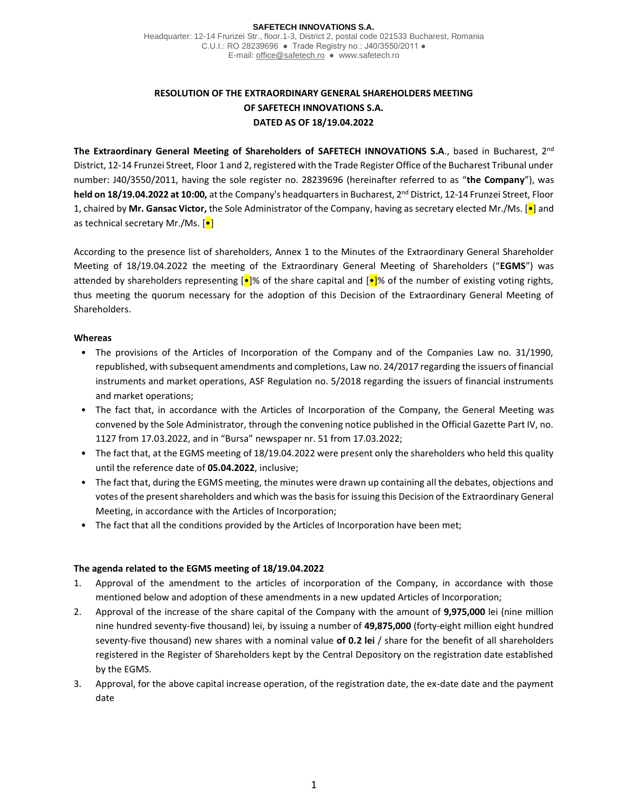#### **SAFETECH INNOVATIONS S.A.**

Headquarter: 12-14 Frunzei Str., floor.1-3, District 2, postal code 021533 Bucharest, Romania C.U.I.: RO 28239696 ● Trade Registry no.: J40/3550/2011 ● E-mail[: office@safetech.ro](mailto:office@safetech.ro) ● www.safetech.ro

# **RESOLUTION OF THE EXTRAORDINARY GENERAL SHAREHOLDERS MEETING OF SAFETECH INNOVATIONS S.A. DATED AS OF 18/19.04.2022**

**The Extraordinary General Meeting of Shareholders of SAFETECH INNOVATIONS S.A**., based in Bucharest, 2nd District, 12-14 Frunzei Street, Floor 1 and 2, registered with the Trade Register Office of the Bucharest Tribunal under number: J40/3550/2011, having the sole register no. 28239696 (hereinafter referred to as "**the Company**"), was **held on 18/19.04.2022 at 10:00,** at the Company's headquarters in Bucharest, 2nd District, 12-14 Frunzei Street, Floor 1, chaired by **Mr. Gansac Victor,** the Sole Administrator of the Company, having as secretary elected Mr./Ms. [•] and as technical secretary Mr./Ms. [•]

According to the presence list of shareholders, Annex 1 to the Minutes of the Extraordinary General Shareholder Meeting of 18/19.04.2022 the meeting of the Extraordinary General Meeting of Shareholders ("**EGMS**") was attended by shareholders representing  $\left[\bullet\right]$ % of the share capital and  $\left[\bullet\right]$ % of the number of existing voting rights, thus meeting the quorum necessary for the adoption of this Decision of the Extraordinary General Meeting of Shareholders.

# **Whereas**

- The provisions of the Articles of Incorporation of the Company and of the Companies Law no. 31/1990, republished, with subsequent amendments and completions, Law no. 24/2017 regarding the issuers of financial instruments and market operations, ASF Regulation no. 5/2018 regarding the issuers of financial instruments and market operations;
- The fact that, in accordance with the Articles of Incorporation of the Company, the General Meeting was convened by the Sole Administrator, through the convening notice published in the Official Gazette Part IV, no. 1127 from 17.03.2022, and in "Bursa" newspaper nr. 51 from 17.03.2022;
- The fact that, at the EGMS meeting of 18/19.04.2022 were present only the shareholders who held this quality until the reference date of **05.04.2022**, inclusive;
- The fact that, during the EGMS meeting, the minutes were drawn up containing all the debates, objections and votes of the present shareholders and which was the basis for issuing this Decision of the Extraordinary General Meeting, in accordance with the Articles of Incorporation;
- The fact that all the conditions provided by the Articles of Incorporation have been met;

### **The agenda related to the EGMS meeting of 18/19.04.2022**

- 1. Approval of the amendment to the articles of incorporation of the Company, in accordance with those mentioned below and adoption of these amendments in a new updated Articles of Incorporation;
- 2. Approval of the increase of the share capital of the Company with the amount of **9,975,000** lei (nine million nine hundred seventy-five thousand) lei, by issuing a number of **49,875,000** (forty-eight million eight hundred seventy-five thousand) new shares with a nominal value **of 0.2 lei** / share for the benefit of all shareholders registered in the Register of Shareholders kept by the Central Depository on the registration date established by the EGMS.
- 3. Approval, for the above capital increase operation, of the registration date, the ex-date date and the payment date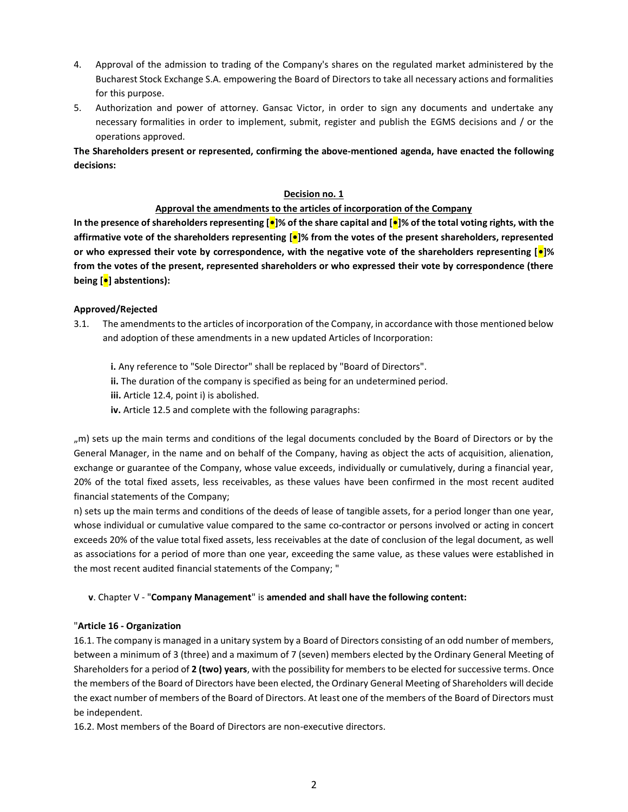- 4. Approval of the admission to trading of the Company's shares on the regulated market administered by the Bucharest Stock Exchange S.A. empowering the Board of Directors to take all necessary actions and formalities for this purpose.
- 5. Authorization and power of attorney. Gansac Victor, in order to sign any documents and undertake any necessary formalities in order to implement, submit, register and publish the EGMS decisions and / or the operations approved.

**The Shareholders present or represented, confirming the above-mentioned agenda, have enacted the following decisions:**

# **Decision no. 1**

# **Approval the amendments to the articles of incorporation of the Company**

**In the presence of shareholders representing [•]% of the share capital and [•]% of the total voting rights, with the affirmative vote of the shareholders representing [•]% from the votes of the present shareholders, represented or who expressed their vote by correspondence, with the negative vote of the shareholders representing [•]% from the votes of the present, represented shareholders or who expressed their vote by correspondence (there being [•] abstentions):**

# **Approved/Rejected**

- 3.1. The amendments to the articles of incorporation of the Company, in accordance with those mentioned below and adoption of these amendments in a new updated Articles of Incorporation:
	- **i.** Any reference to "Sole Director" shall be replaced by "Board of Directors".
	- **ii.** The duration of the company is specified as being for an undetermined period.
	- **iii.** Article 12.4, point i) is abolished.
	- **iv.** Article 12.5 and complete with the following paragraphs:

"m) sets up the main terms and conditions of the legal documents concluded by the Board of Directors or by the General Manager, in the name and on behalf of the Company, having as object the acts of acquisition, alienation, exchange or guarantee of the Company, whose value exceeds, individually or cumulatively, during a financial year, 20% of the total fixed assets, less receivables, as these values have been confirmed in the most recent audited financial statements of the Company;

n) sets up the main terms and conditions of the deeds of lease of tangible assets, for a period longer than one year, whose individual or cumulative value compared to the same co-contractor or persons involved or acting in concert exceeds 20% of the value total fixed assets, less receivables at the date of conclusion of the legal document, as well as associations for a period of more than one year, exceeding the same value, as these values were established in the most recent audited financial statements of the Company; "

### **v**. Chapter V - "**Company Management**" is **amended and shall have the following content:**

### "**Article 16 - Organization**

16.1. The company is managed in a unitary system by a Board of Directors consisting of an odd number of members, between a minimum of 3 (three) and a maximum of 7 (seven) members elected by the Ordinary General Meeting of Shareholders for a period of **2 (two) years**, with the possibility for members to be elected for successive terms. Once the members of the Board of Directors have been elected, the Ordinary General Meeting of Shareholders will decide the exact number of members of the Board of Directors. At least one of the members of the Board of Directors must be independent.

16.2. Most members of the Board of Directors are non-executive directors.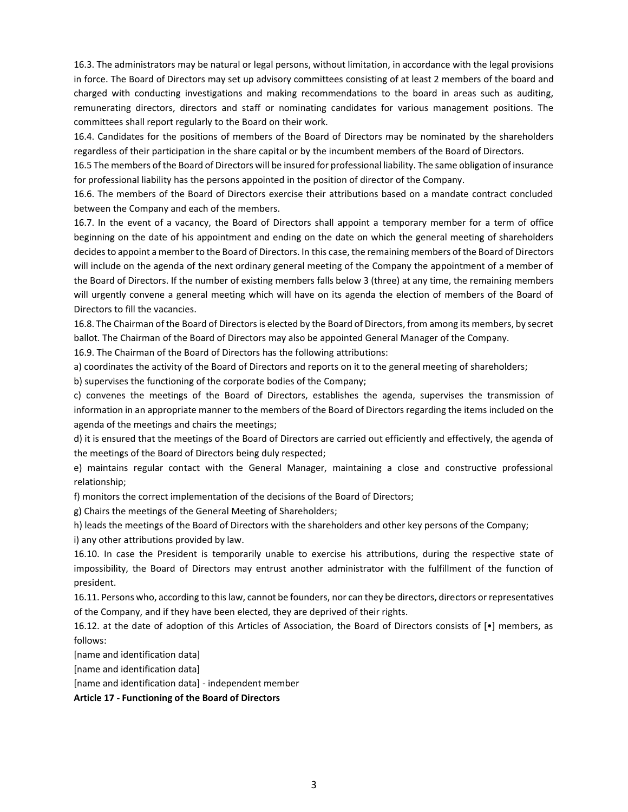16.3. The administrators may be natural or legal persons, without limitation, in accordance with the legal provisions in force. The Board of Directors may set up advisory committees consisting of at least 2 members of the board and charged with conducting investigations and making recommendations to the board in areas such as auditing, remunerating directors, directors and staff or nominating candidates for various management positions. The committees shall report regularly to the Board on their work.

16.4. Candidates for the positions of members of the Board of Directors may be nominated by the shareholders regardless of their participation in the share capital or by the incumbent members of the Board of Directors.

16.5 The members of the Board of Directors will be insured for professional liability. The same obligation of insurance for professional liability has the persons appointed in the position of director of the Company.

16.6. The members of the Board of Directors exercise their attributions based on a mandate contract concluded between the Company and each of the members.

16.7. In the event of a vacancy, the Board of Directors shall appoint a temporary member for a term of office beginning on the date of his appointment and ending on the date on which the general meeting of shareholders decides to appoint a member to the Board of Directors. In this case, the remaining members of the Board of Directors will include on the agenda of the next ordinary general meeting of the Company the appointment of a member of the Board of Directors. If the number of existing members falls below 3 (three) at any time, the remaining members will urgently convene a general meeting which will have on its agenda the election of members of the Board of Directors to fill the vacancies.

16.8. The Chairman of the Board of Directors is elected by the Board of Directors, from among its members, by secret ballot. The Chairman of the Board of Directors may also be appointed General Manager of the Company.

16.9. The Chairman of the Board of Directors has the following attributions:

a) coordinates the activity of the Board of Directors and reports on it to the general meeting of shareholders;

b) supervises the functioning of the corporate bodies of the Company;

c) convenes the meetings of the Board of Directors, establishes the agenda, supervises the transmission of information in an appropriate manner to the members of the Board of Directors regarding the items included on the agenda of the meetings and chairs the meetings;

d) it is ensured that the meetings of the Board of Directors are carried out efficiently and effectively, the agenda of the meetings of the Board of Directors being duly respected;

e) maintains regular contact with the General Manager, maintaining a close and constructive professional relationship;

f) monitors the correct implementation of the decisions of the Board of Directors;

g) Chairs the meetings of the General Meeting of Shareholders;

h) leads the meetings of the Board of Directors with the shareholders and other key persons of the Company;

i) any other attributions provided by law.

16.10. In case the President is temporarily unable to exercise his attributions, during the respective state of impossibility, the Board of Directors may entrust another administrator with the fulfillment of the function of president.

16.11. Persons who, according to this law, cannot be founders, nor can they be directors, directors or representatives of the Company, and if they have been elected, they are deprived of their rights.

16.12. at the date of adoption of this Articles of Association, the Board of Directors consists of [•] members, as follows:

[name and identification data]

[name and identification data]

[name and identification data] - independent member

**Article 17 - Functioning of the Board of Directors**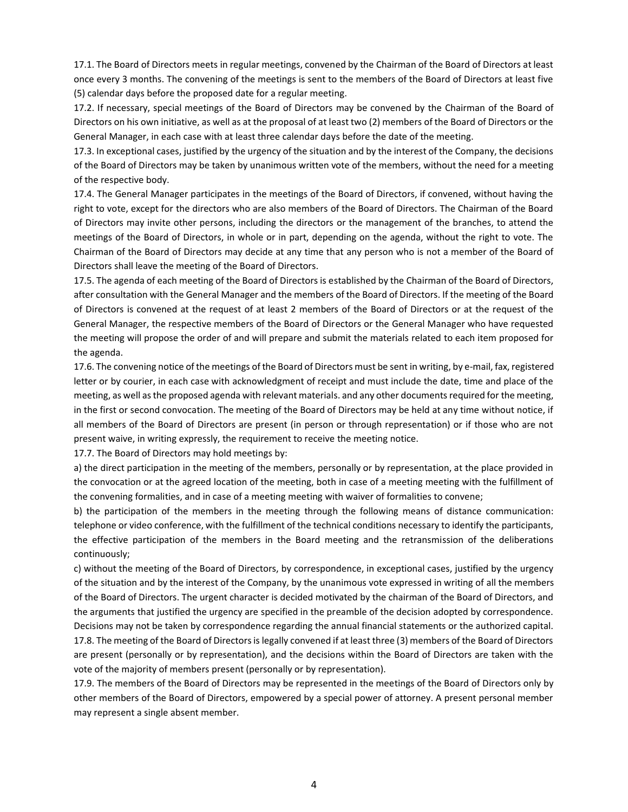17.1. The Board of Directors meets in regular meetings, convened by the Chairman of the Board of Directors at least once every 3 months. The convening of the meetings is sent to the members of the Board of Directors at least five (5) calendar days before the proposed date for a regular meeting.

17.2. If necessary, special meetings of the Board of Directors may be convened by the Chairman of the Board of Directors on his own initiative, as well as at the proposal of at least two (2) members of the Board of Directors or the General Manager, in each case with at least three calendar days before the date of the meeting.

17.3. In exceptional cases, justified by the urgency of the situation and by the interest of the Company, the decisions of the Board of Directors may be taken by unanimous written vote of the members, without the need for a meeting of the respective body.

17.4. The General Manager participates in the meetings of the Board of Directors, if convened, without having the right to vote, except for the directors who are also members of the Board of Directors. The Chairman of the Board of Directors may invite other persons, including the directors or the management of the branches, to attend the meetings of the Board of Directors, in whole or in part, depending on the agenda, without the right to vote. The Chairman of the Board of Directors may decide at any time that any person who is not a member of the Board of Directors shall leave the meeting of the Board of Directors.

17.5. The agenda of each meeting of the Board of Directors is established by the Chairman of the Board of Directors, after consultation with the General Manager and the members of the Board of Directors. If the meeting of the Board of Directors is convened at the request of at least 2 members of the Board of Directors or at the request of the General Manager, the respective members of the Board of Directors or the General Manager who have requested the meeting will propose the order of and will prepare and submit the materials related to each item proposed for the agenda.

17.6. The convening notice of the meetings of the Board of Directors must be sent in writing, by e-mail, fax, registered letter or by courier, in each case with acknowledgment of receipt and must include the date, time and place of the meeting, as well as the proposed agenda with relevant materials. and any other documents required for the meeting, in the first or second convocation. The meeting of the Board of Directors may be held at any time without notice, if all members of the Board of Directors are present (in person or through representation) or if those who are not present waive, in writing expressly, the requirement to receive the meeting notice.

17.7. The Board of Directors may hold meetings by:

a) the direct participation in the meeting of the members, personally or by representation, at the place provided in the convocation or at the agreed location of the meeting, both in case of a meeting meeting with the fulfillment of the convening formalities, and in case of a meeting meeting with waiver of formalities to convene;

b) the participation of the members in the meeting through the following means of distance communication: telephone or video conference, with the fulfillment of the technical conditions necessary to identify the participants, the effective participation of the members in the Board meeting and the retransmission of the deliberations continuously;

c) without the meeting of the Board of Directors, by correspondence, in exceptional cases, justified by the urgency of the situation and by the interest of the Company, by the unanimous vote expressed in writing of all the members of the Board of Directors. The urgent character is decided motivated by the chairman of the Board of Directors, and the arguments that justified the urgency are specified in the preamble of the decision adopted by correspondence. Decisions may not be taken by correspondence regarding the annual financial statements or the authorized capital. 17.8. The meeting of the Board of Directors is legally convened if at least three (3) members of the Board of Directors are present (personally or by representation), and the decisions within the Board of Directors are taken with the vote of the majority of members present (personally or by representation).

17.9. The members of the Board of Directors may be represented in the meetings of the Board of Directors only by other members of the Board of Directors, empowered by a special power of attorney. A present personal member may represent a single absent member.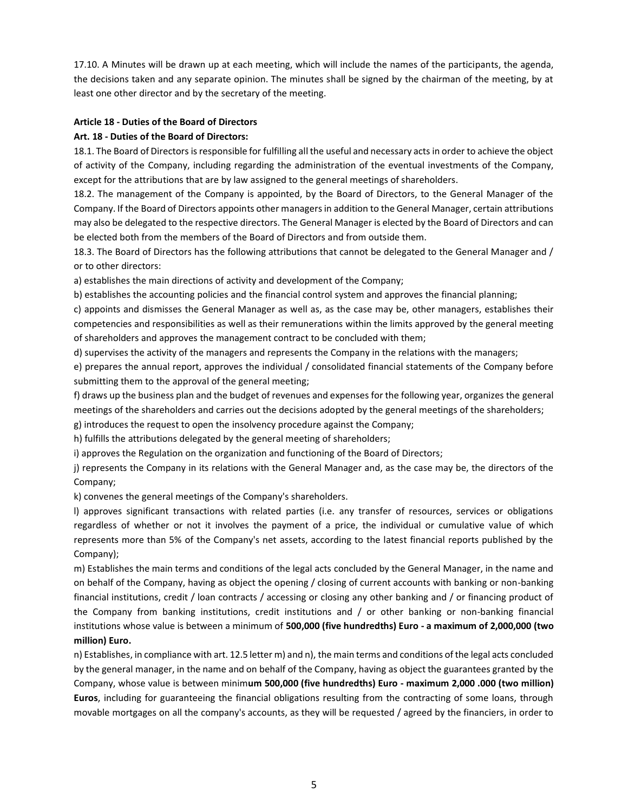17.10. A Minutes will be drawn up at each meeting, which will include the names of the participants, the agenda, the decisions taken and any separate opinion. The minutes shall be signed by the chairman of the meeting, by at least one other director and by the secretary of the meeting.

# **Article 18 - Duties of the Board of Directors**

# **Art. 18 - Duties of the Board of Directors:**

18.1. The Board of Directors is responsible for fulfilling all the useful and necessary acts in order to achieve the object of activity of the Company, including regarding the administration of the eventual investments of the Company, except for the attributions that are by law assigned to the general meetings of shareholders.

18.2. The management of the Company is appointed, by the Board of Directors, to the General Manager of the Company. If the Board of Directors appoints other managers in addition to the General Manager, certain attributions may also be delegated to the respective directors. The General Manager is elected by the Board of Directors and can be elected both from the members of the Board of Directors and from outside them.

18.3. The Board of Directors has the following attributions that cannot be delegated to the General Manager and / or to other directors:

a) establishes the main directions of activity and development of the Company;

b) establishes the accounting policies and the financial control system and approves the financial planning;

c) appoints and dismisses the General Manager as well as, as the case may be, other managers, establishes their competencies and responsibilities as well as their remunerations within the limits approved by the general meeting of shareholders and approves the management contract to be concluded with them;

d) supervises the activity of the managers and represents the Company in the relations with the managers;

e) prepares the annual report, approves the individual / consolidated financial statements of the Company before submitting them to the approval of the general meeting;

f) draws up the business plan and the budget of revenues and expenses for the following year, organizes the general meetings of the shareholders and carries out the decisions adopted by the general meetings of the shareholders;

g) introduces the request to open the insolvency procedure against the Company;

h) fulfills the attributions delegated by the general meeting of shareholders;

i) approves the Regulation on the organization and functioning of the Board of Directors;

j) represents the Company in its relations with the General Manager and, as the case may be, the directors of the Company;

k) convenes the general meetings of the Company's shareholders.

l) approves significant transactions with related parties (i.e. any transfer of resources, services or obligations regardless of whether or not it involves the payment of a price, the individual or cumulative value of which represents more than 5% of the Company's net assets, according to the latest financial reports published by the Company);

m) Establishes the main terms and conditions of the legal acts concluded by the General Manager, in the name and on behalf of the Company, having as object the opening / closing of current accounts with banking or non-banking financial institutions, credit / loan contracts / accessing or closing any other banking and / or financing product of the Company from banking institutions, credit institutions and / or other banking or non-banking financial institutions whose value is between a minimum of **500,000 (five hundredths) Euro - a maximum of 2,000,000 (two million) Euro.**

n) Establishes, in compliance with art. 12.5 letter m) and n), the main terms and conditions of the legal acts concluded by the general manager, in the name and on behalf of the Company, having as object the guarantees granted by the Company, whose value is between minim**um 500,000 (five hundredths) Euro - maximum 2,000 .000 (two million) Euros**, including for guaranteeing the financial obligations resulting from the contracting of some loans, through movable mortgages on all the company's accounts, as they will be requested / agreed by the financiers, in order to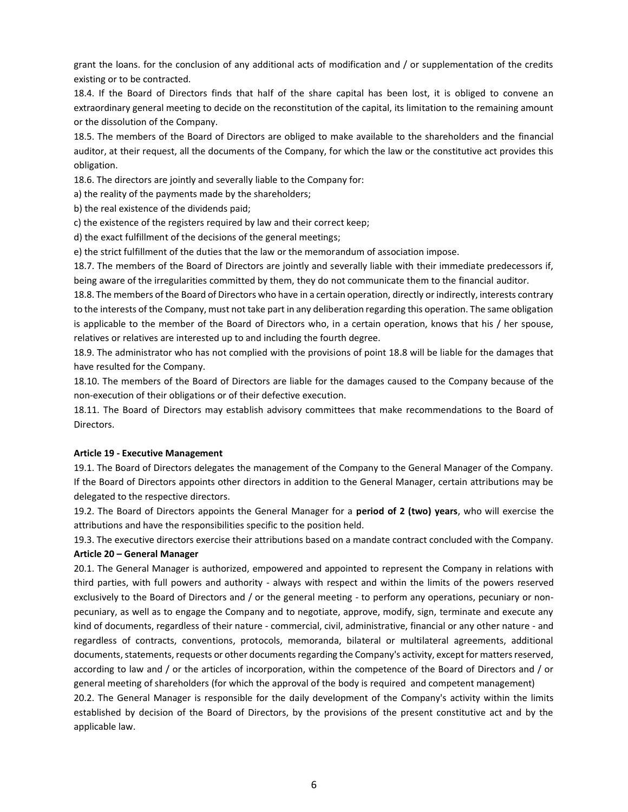grant the loans. for the conclusion of any additional acts of modification and / or supplementation of the credits existing or to be contracted.

18.4. If the Board of Directors finds that half of the share capital has been lost, it is obliged to convene an extraordinary general meeting to decide on the reconstitution of the capital, its limitation to the remaining amount or the dissolution of the Company.

18.5. The members of the Board of Directors are obliged to make available to the shareholders and the financial auditor, at their request, all the documents of the Company, for which the law or the constitutive act provides this obligation.

18.6. The directors are jointly and severally liable to the Company for:

a) the reality of the payments made by the shareholders;

b) the real existence of the dividends paid;

c) the existence of the registers required by law and their correct keep;

d) the exact fulfillment of the decisions of the general meetings;

e) the strict fulfillment of the duties that the law or the memorandum of association impose.

18.7. The members of the Board of Directors are jointly and severally liable with their immediate predecessors if, being aware of the irregularities committed by them, they do not communicate them to the financial auditor.

18.8. The members of the Board of Directors who have in a certain operation, directly or indirectly, interests contrary to the interests of the Company, must not take part in any deliberation regarding this operation. The same obligation is applicable to the member of the Board of Directors who, in a certain operation, knows that his / her spouse, relatives or relatives are interested up to and including the fourth degree.

18.9. The administrator who has not complied with the provisions of point 18.8 will be liable for the damages that have resulted for the Company.

18.10. The members of the Board of Directors are liable for the damages caused to the Company because of the non-execution of their obligations or of their defective execution.

18.11. The Board of Directors may establish advisory committees that make recommendations to the Board of Directors.

### **Article 19 - Executive Management**

19.1. The Board of Directors delegates the management of the Company to the General Manager of the Company. If the Board of Directors appoints other directors in addition to the General Manager, certain attributions may be delegated to the respective directors.

19.2. The Board of Directors appoints the General Manager for a **period of 2 (two) years**, who will exercise the attributions and have the responsibilities specific to the position held.

19.3. The executive directors exercise their attributions based on a mandate contract concluded with the Company. **Article 20 – General Manager**

20.1. The General Manager is authorized, empowered and appointed to represent the Company in relations with third parties, with full powers and authority - always with respect and within the limits of the powers reserved exclusively to the Board of Directors and / or the general meeting - to perform any operations, pecuniary or nonpecuniary, as well as to engage the Company and to negotiate, approve, modify, sign, terminate and execute any kind of documents, regardless of their nature - commercial, civil, administrative, financial or any other nature - and regardless of contracts, conventions, protocols, memoranda, bilateral or multilateral agreements, additional documents, statements, requests or other documents regarding the Company's activity, except for matters reserved, according to law and / or the articles of incorporation, within the competence of the Board of Directors and / or general meeting of shareholders (for which the approval of the body is required and competent management) 20.2. The General Manager is responsible for the daily development of the Company's activity within the limits established by decision of the Board of Directors, by the provisions of the present constitutive act and by the applicable law.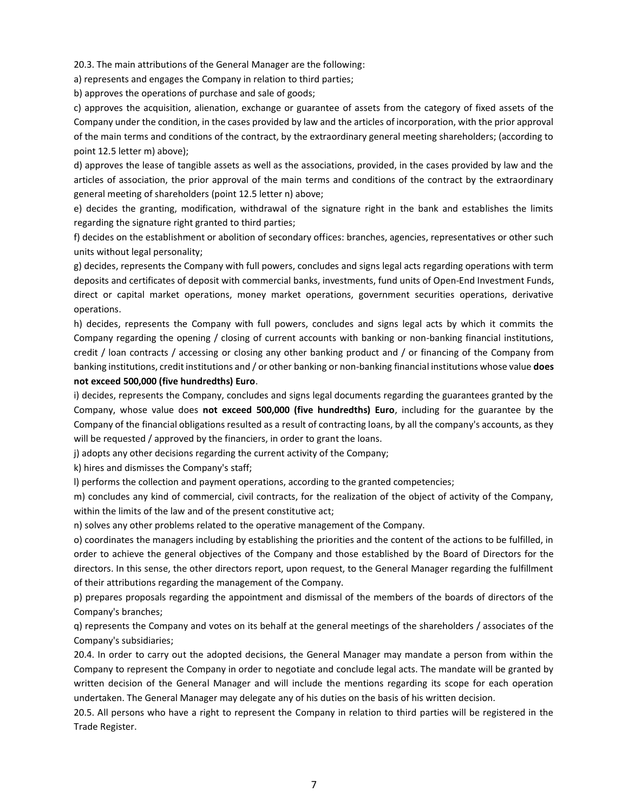20.3. The main attributions of the General Manager are the following:

a) represents and engages the Company in relation to third parties;

b) approves the operations of purchase and sale of goods;

c) approves the acquisition, alienation, exchange or guarantee of assets from the category of fixed assets of the Company under the condition, in the cases provided by law and the articles of incorporation, with the prior approval of the main terms and conditions of the contract, by the extraordinary general meeting shareholders; (according to point 12.5 letter m) above);

d) approves the lease of tangible assets as well as the associations, provided, in the cases provided by law and the articles of association, the prior approval of the main terms and conditions of the contract by the extraordinary general meeting of shareholders (point 12.5 letter n) above;

e) decides the granting, modification, withdrawal of the signature right in the bank and establishes the limits regarding the signature right granted to third parties;

f) decides on the establishment or abolition of secondary offices: branches, agencies, representatives or other such units without legal personality;

g) decides, represents the Company with full powers, concludes and signs legal acts regarding operations with term deposits and certificates of deposit with commercial banks, investments, fund units of Open-End Investment Funds, direct or capital market operations, money market operations, government securities operations, derivative operations.

h) decides, represents the Company with full powers, concludes and signs legal acts by which it commits the Company regarding the opening / closing of current accounts with banking or non-banking financial institutions, credit / loan contracts / accessing or closing any other banking product and / or financing of the Company from banking institutions, credit institutions and / or other banking or non-banking financial institutions whose value **does not exceed 500,000 (five hundredths) Euro**.

i) decides, represents the Company, concludes and signs legal documents regarding the guarantees granted by the Company, whose value does **not exceed 500,000 (five hundredths) Euro**, including for the guarantee by the Company of the financial obligations resulted as a result of contracting loans, by all the company's accounts, as they will be requested / approved by the financiers, in order to grant the loans.

j) adopts any other decisions regarding the current activity of the Company;

k) hires and dismisses the Company's staff;

l) performs the collection and payment operations, according to the granted competencies;

m) concludes any kind of commercial, civil contracts, for the realization of the object of activity of the Company, within the limits of the law and of the present constitutive act;

n) solves any other problems related to the operative management of the Company.

o) coordinates the managers including by establishing the priorities and the content of the actions to be fulfilled, in order to achieve the general objectives of the Company and those established by the Board of Directors for the directors. In this sense, the other directors report, upon request, to the General Manager regarding the fulfillment of their attributions regarding the management of the Company.

p) prepares proposals regarding the appointment and dismissal of the members of the boards of directors of the Company's branches;

q) represents the Company and votes on its behalf at the general meetings of the shareholders / associates of the Company's subsidiaries;

20.4. In order to carry out the adopted decisions, the General Manager may mandate a person from within the Company to represent the Company in order to negotiate and conclude legal acts. The mandate will be granted by written decision of the General Manager and will include the mentions regarding its scope for each operation undertaken. The General Manager may delegate any of his duties on the basis of his written decision.

20.5. All persons who have a right to represent the Company in relation to third parties will be registered in the Trade Register.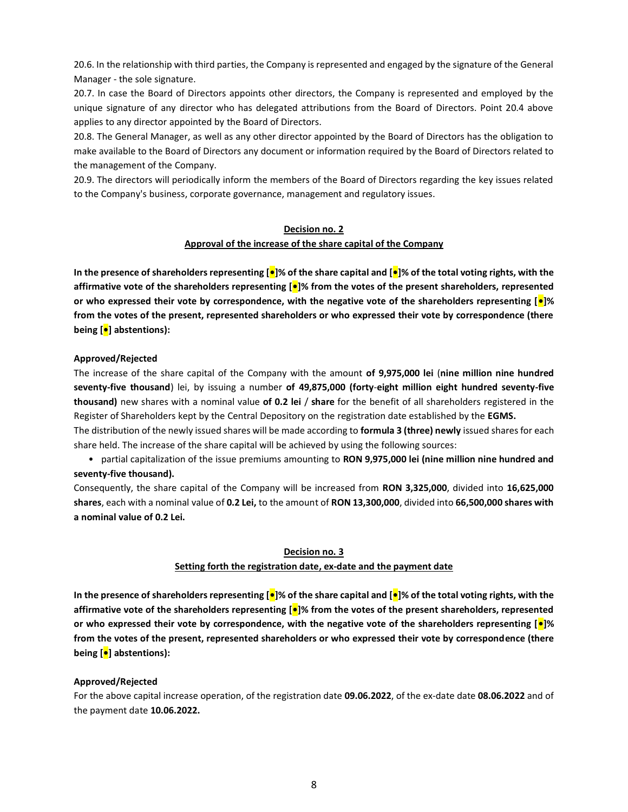20.6. In the relationship with third parties, the Company is represented and engaged by the signature of the General Manager - the sole signature.

20.7. In case the Board of Directors appoints other directors, the Company is represented and employed by the unique signature of any director who has delegated attributions from the Board of Directors. Point 20.4 above applies to any director appointed by the Board of Directors.

20.8. The General Manager, as well as any other director appointed by the Board of Directors has the obligation to make available to the Board of Directors any document or information required by the Board of Directors related to the management of the Company.

20.9. The directors will periodically inform the members of the Board of Directors regarding the key issues related to the Company's business, corporate governance, management and regulatory issues.

#### **Decision no. 2**

#### **Approval of the increase of the share capital of the Company**

**In the presence of shareholders representing [•]% of the share capital and [•]% of the total voting rights, with the affirmative vote of the shareholders representing [•]% from the votes of the present shareholders, represented or who expressed their vote by correspondence, with the negative vote of the shareholders representing [•]% from the votes of the present, represented shareholders or who expressed their vote by correspondence (there being [•] abstentions):**

### **Approved/Rejected**

The increase of the share capital of the Company with the amount **of 9,975,000 lei** (**nine million nine hundred seventy-five thousand**) lei, by issuing a number **of 49,875,000 (forty**-**eight million eight hundred seventy-five thousand)** new shares with a nominal value **of 0.2 lei** / **share** for the benefit of all shareholders registered in the Register of Shareholders kept by the Central Depository on the registration date established by the **EGMS.**

The distribution of the newly issued shares will be made according to **formula 3 (three) newly** issued shares for each share held. The increase of the share capital will be achieved by using the following sources:

• partial capitalization of the issue premiums amounting to **RON 9,975,000 lei (nine million nine hundred and seventy-five thousand).**

Consequently, the share capital of the Company will be increased from **RON 3,325,000**, divided into **16,625,000 shares**, each with a nominal value of **0.2 Lei,** to the amount of **RON 13,300,000**, divided into **66,500,000 shares with a nominal value of 0.2 Lei.**

# **Decision no. 3**

### **Setting forth the registration date, ex-date and the payment date**

**In the presence of shareholders representing [•]% of the share capital and [•]% of the total voting rights, with the affirmative vote of the shareholders representing [•]% from the votes of the present shareholders, represented or who expressed their vote by correspondence, with the negative vote of the shareholders representing [•]% from the votes of the present, represented shareholders or who expressed their vote by correspondence (there being [•] abstentions):**

### **Approved/Rejected**

For the above capital increase operation, of the registration date **09.06.2022**, of the ex-date date **08.06.2022** and of the payment date **10.06.2022.**